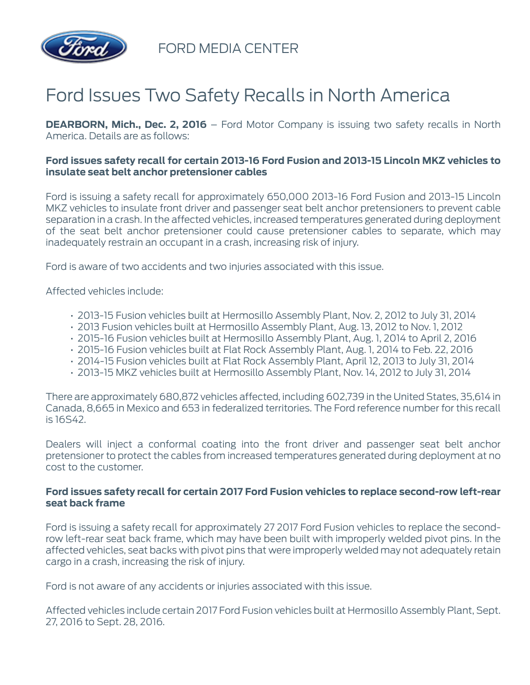

FORD MEDIA CENTER

## Ford Issues Two Safety Recalls in North America

**DEARBORN, Mich., Dec. 2, 2016** – Ford Motor Company is issuing two safety recalls in North America. Details are as follows:

## **Ford issues safety recall for certain 2013-16 Ford Fusion and 2013-15 Lincoln MKZ vehicles to insulate seat belt anchor pretensioner cables**

Ford is issuing a safety recall for approximately 650,000 2013-16 Ford Fusion and 2013-15 Lincoln MKZ vehicles to insulate front driver and passenger seat belt anchor pretensioners to prevent cable separation in a crash. In the affected vehicles, increased temperatures generated during deployment of the seat belt anchor pretensioner could cause pretensioner cables to separate, which may inadequately restrain an occupant in a crash, increasing risk of injury.

Ford is aware of two accidents and two injuries associated with this issue.

Affected vehicles include:

- 2013-15 Fusion vehicles built at Hermosillo Assembly Plant, Nov. 2, 2012 to July 31, 2014
- 2013 Fusion vehicles built at Hermosillo Assembly Plant, Aug. 13, 2012 to Nov. 1, 2012
- 2015-16 Fusion vehicles built at Hermosillo Assembly Plant, Aug. 1, 2014 to April 2, 2016
- 2015-16 Fusion vehicles built at Flat Rock Assembly Plant, Aug. 1, 2014 to Feb. 22, 2016
- 2014-15 Fusion vehicles built at Flat Rock Assembly Plant, April 12, 2013 to July 31, 2014
- 2013-15 MKZ vehicles built at Hermosillo Assembly Plant, Nov. 14, 2012 to July 31, 2014

There are approximately 680,872 vehicles affected, including 602,739 in the United States, 35,614 in Canada, 8,665 in Mexico and 653 in federalized territories. The Ford reference number for this recall is 16S42.

Dealers will inject a conformal coating into the front driver and passenger seat belt anchor pretensioner to protect the cables from increased temperatures generated during deployment at no cost to the customer.

## **Ford issues safety recall for certain 2017 Ford Fusion vehicles to replace second-row left-rear seat back frame**

Ford is issuing a safety recall for approximately 27 2017 Ford Fusion vehicles to replace the secondrow left-rear seat back frame, which may have been built with improperly welded pivot pins. In the affected vehicles, seat backs with pivot pins that were improperly welded may not adequately retain cargo in a crash, increasing the risk of injury.

Ford is not aware of any accidents or injuries associated with this issue.

Affected vehicles include certain 2017 Ford Fusion vehicles built at Hermosillo Assembly Plant, Sept. 27, 2016 to Sept. 28, 2016.